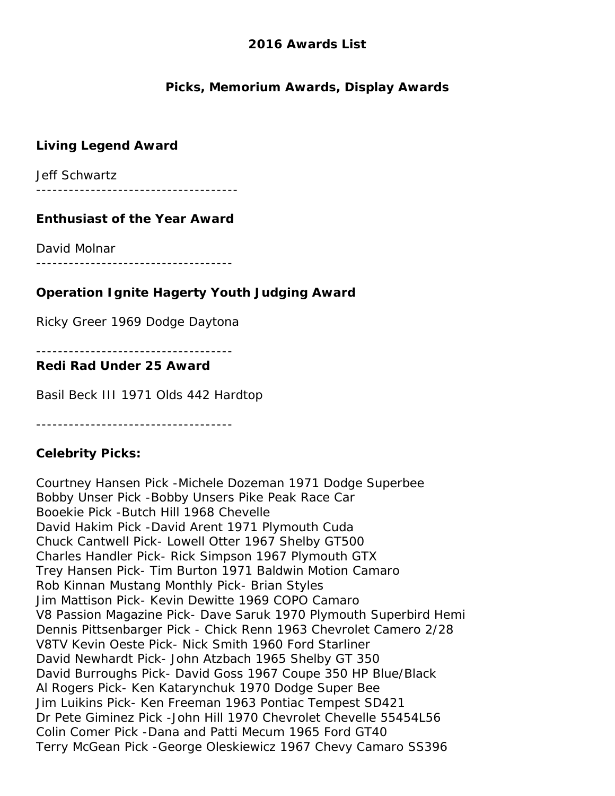### **Picks, Memorium Awards, Display Awards**

# **Living Legend Award**

Jeff Schwartz

-------------------------------------

### **Enthusiast of the Year Award**

David Molnar

------------------------------------

# **Operation Ignite Hagerty Youth Judging Award**

Ricky Greer 1969 Dodge Daytona

------------------------------------

#### **Redi Rad Under 25 Award**

Basil Beck III 1971 Olds 442 Hardtop

------------------------------------

### **Celebrity Picks:**

Courtney Hansen Pick -Michele Dozeman 1971 Dodge Superbee Bobby Unser Pick -Bobby Unsers Pike Peak Race Car Booekie Pick -Butch Hill 1968 Chevelle David Hakim Pick -David Arent 1971 Plymouth Cuda Chuck Cantwell Pick- Lowell Otter 1967 Shelby GT500 Charles Handler Pick- Rick Simpson 1967 Plymouth GTX Trey Hansen Pick- Tim Burton 1971 Baldwin Motion Camaro Rob Kinnan Mustang Monthly Pick- Brian Styles Jim Mattison Pick- Kevin Dewitte 1969 COPO Camaro V8 Passion Magazine Pick- Dave Saruk 1970 Plymouth Superbird Hemi Dennis Pittsenbarger Pick - Chick Renn 1963 Chevrolet Camero 2/28 V8TV Kevin Oeste Pick- Nick Smith 1960 Ford Starliner David Newhardt Pick- John Atzbach 1965 Shelby GT 350 David Burroughs Pick- David Goss 1967 Coupe 350 HP Blue/Black Al Rogers Pick- Ken Katarynchuk 1970 Dodge Super Bee Jim Luikins Pick- Ken Freeman 1963 Pontiac Tempest SD421 Dr Pete Giminez Pick -John Hill 1970 Chevrolet Chevelle 55454L56 Colin Comer Pick -Dana and Patti Mecum 1965 Ford GT40 Terry McGean Pick -George Oleskiewicz 1967 Chevy Camaro SS396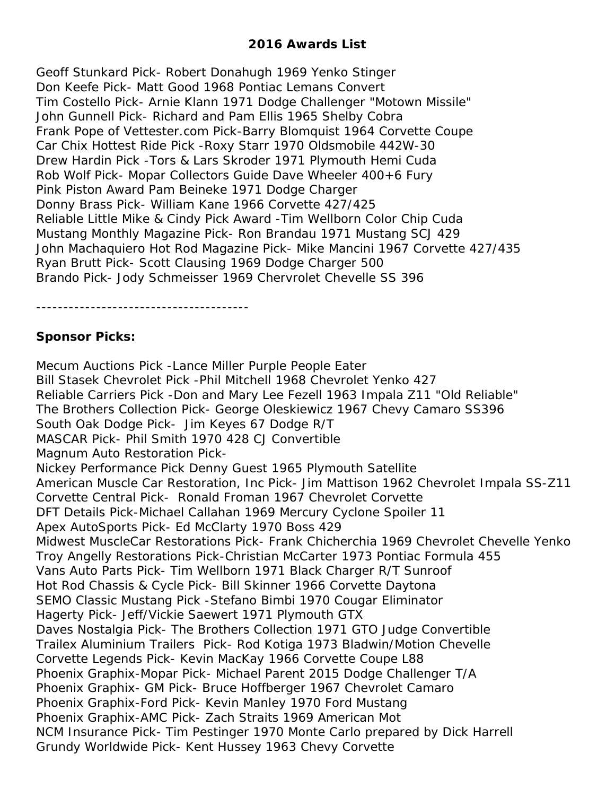Geoff Stunkard Pick- Robert Donahugh 1969 Yenko Stinger Don Keefe Pick- Matt Good 1968 Pontiac Lemans Convert Tim Costello Pick- Arnie Klann 1971 Dodge Challenger "Motown Missile" John Gunnell Pick- Richard and Pam Ellis 1965 Shelby Cobra Frank Pope of Vettester.com Pick-Barry Blomquist 1964 Corvette Coupe Car Chix Hottest Ride Pick -Roxy Starr 1970 Oldsmobile 442W-30 Drew Hardin Pick -Tors & Lars Skroder 1971 Plymouth Hemi Cuda Rob Wolf Pick- Mopar Collectors Guide Dave Wheeler 400+6 Fury Pink Piston Award Pam Beineke 1971 Dodge Charger Donny Brass Pick- William Kane 1966 Corvette 427/425 Reliable Little Mike & Cindy Pick Award -Tim Wellborn Color Chip Cuda Mustang Monthly Magazine Pick- Ron Brandau 1971 Mustang SCJ 429 John Machaquiero Hot Rod Magazine Pick- Mike Mancini 1967 Corvette 427/435 Ryan Brutt Pick- Scott Clausing 1969 Dodge Charger 500 Brando Pick- Jody Schmeisser 1969 Chervrolet Chevelle SS 396

---------------------------------------

### **Sponsor Picks:**

Mecum Auctions Pick -Lance Miller Purple People Eater Bill Stasek Chevrolet Pick -Phil Mitchell 1968 Chevrolet Yenko 427 Reliable Carriers Pick -Don and Mary Lee Fezell 1963 Impala Z11 "Old Reliable" The Brothers Collection Pick- George Oleskiewicz 1967 Chevy Camaro SS396 South Oak Dodge Pick- Jim Keyes 67 Dodge R/T MASCAR Pick- Phil Smith 1970 428 CJ Convertible Magnum Auto Restoration Pick-Nickey Performance Pick Denny Guest 1965 Plymouth Satellite American Muscle Car Restoration, Inc Pick- Jim Mattison 1962 Chevrolet Impala SS-Z11 Corvette Central Pick- Ronald Froman 1967 Chevrolet Corvette DFT Details Pick-Michael Callahan 1969 Mercury Cyclone Spoiler 11 Apex AutoSports Pick- Ed McClarty 1970 Boss 429 Midwest MuscleCar Restorations Pick- Frank Chicherchia 1969 Chevrolet Chevelle Yenko Troy Angelly Restorations Pick-Christian McCarter 1973 Pontiac Formula 455 Vans Auto Parts Pick- Tim Wellborn 1971 Black Charger R/T Sunroof Hot Rod Chassis & Cycle Pick- Bill Skinner 1966 Corvette Daytona SEMO Classic Mustang Pick -Stefano Bimbi 1970 Cougar Eliminator Hagerty Pick- Jeff/Vickie Saewert 1971 Plymouth GTX Daves Nostalgia Pick- The Brothers Collection 1971 GTO Judge Convertible Trailex Aluminium Trailers Pick- Rod Kotiga 1973 Bladwin/Motion Chevelle Corvette Legends Pick- Kevin MacKay 1966 Corvette Coupe L88 Phoenix Graphix-Mopar Pick- Michael Parent 2015 Dodge Challenger T/A Phoenix Graphix- GM Pick- Bruce Hoffberger 1967 Chevrolet Camaro Phoenix Graphix-Ford Pick- Kevin Manley 1970 Ford Mustang Phoenix Graphix-AMC Pick- Zach Straits 1969 American Mot NCM Insurance Pick- Tim Pestinger 1970 Monte Carlo prepared by Dick Harrell Grundy Worldwide Pick- Kent Hussey 1963 Chevy Corvette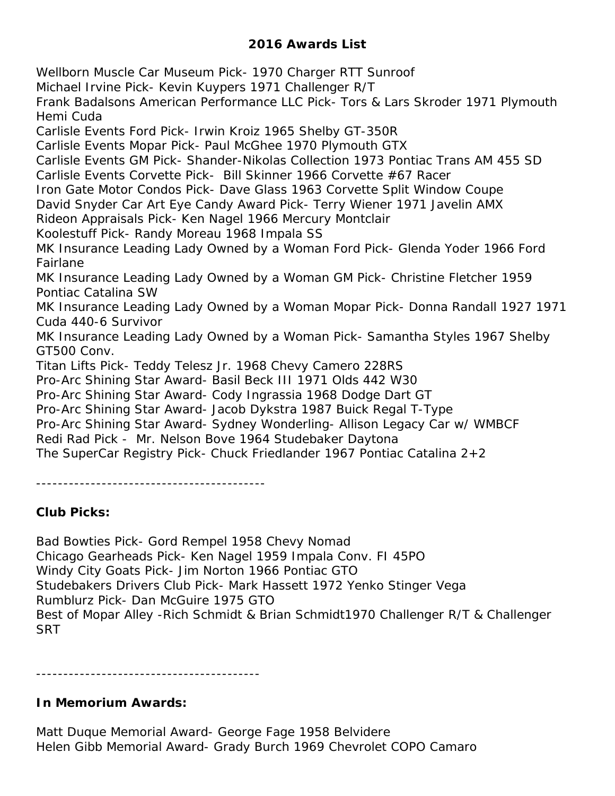Wellborn Muscle Car Museum Pick- 1970 Charger RTT Sunroof Michael Irvine Pick- Kevin Kuypers 1971 Challenger R/T Frank Badalsons American Performance LLC Pick- Tors & Lars Skroder 1971 Plymouth Hemi Cuda Carlisle Events Ford Pick- Irwin Kroiz 1965 Shelby GT-350R Carlisle Events Mopar Pick- Paul McGhee 1970 Plymouth GTX Carlisle Events GM Pick- Shander-Nikolas Collection 1973 Pontiac Trans AM 455 SD Carlisle Events Corvette Pick- Bill Skinner 1966 Corvette #67 Racer Iron Gate Motor Condos Pick- Dave Glass 1963 Corvette Split Window Coupe David Snyder Car Art Eye Candy Award Pick- Terry Wiener 1971 Javelin AMX Rideon Appraisals Pick- Ken Nagel 1966 Mercury Montclair Koolestuff Pick- Randy Moreau 1968 Impala SS MK Insurance Leading Lady Owned by a Woman Ford Pick- Glenda Yoder 1966 Ford Fairlane MK Insurance Leading Lady Owned by a Woman GM Pick- Christine Fletcher 1959 Pontiac Catalina SW MK Insurance Leading Lady Owned by a Woman Mopar Pick- Donna Randall 1927 1971 Cuda 440-6 Survivor MK Insurance Leading Lady Owned by a Woman Pick- Samantha Styles 1967 Shelby GT500 Conv. Titan Lifts Pick- Teddy Telesz Jr. 1968 Chevy Camero 228RS Pro-Arc Shining Star Award- Basil Beck III 1971 Olds 442 W30 Pro-Arc Shining Star Award- Cody Ingrassia 1968 Dodge Dart GT Pro-Arc Shining Star Award- Jacob Dykstra 1987 Buick Regal T-Type Pro-Arc Shining Star Award- Sydney Wonderling- Allison Legacy Car w/ WMBCF Redi Rad Pick - Mr. Nelson Bove 1964 Studebaker Daytona The SuperCar Registry Pick- Chuck Friedlander 1967 Pontiac Catalina 2+2

------------------------------------------

### **Club Picks:**

Bad Bowties Pick- Gord Rempel 1958 Chevy Nomad Chicago Gearheads Pick- Ken Nagel 1959 Impala Conv. FI 45PO Windy City Goats Pick- Jim Norton 1966 Pontiac GTO Studebakers Drivers Club Pick- Mark Hassett 1972 Yenko Stinger Vega Rumblurz Pick- Dan McGuire 1975 GTO Best of Mopar Alley -Rich Schmidt & Brian Schmidt1970 Challenger R/T & Challenger **SRT** 

-----------------------------------------

#### **In Memorium Awards:**

Matt Duque Memorial Award- George Fage 1958 Belvidere Helen Gibb Memorial Award- Grady Burch 1969 Chevrolet COPO Camaro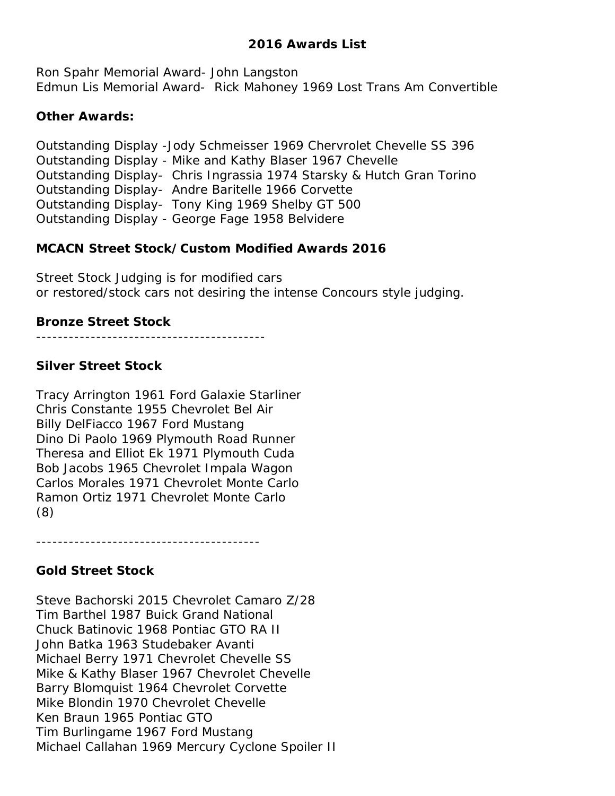Ron Spahr Memorial Award- John Langston Edmun Lis Memorial Award- Rick Mahoney 1969 Lost Trans Am Convertible

### **Other Awards:**

Outstanding Display -Jody Schmeisser 1969 Chervrolet Chevelle SS 396 Outstanding Display - Mike and Kathy Blaser 1967 Chevelle Outstanding Display- Chris Ingrassia 1974 Starsky & Hutch Gran Torino Outstanding Display- Andre Baritelle 1966 Corvette Outstanding Display- Tony King 1969 Shelby GT 500 Outstanding Display - George Fage 1958 Belvidere

# **MCACN Street Stock/Custom Modified Awards 2016**

Street Stock Judging is for modified cars or restored/stock cars not desiring the intense Concours style judging.

# **Bronze Street Stock**

------------------------------------------

# **Silver Street Stock**

Tracy Arrington 1961 Ford Galaxie Starliner Chris Constante 1955 Chevrolet Bel Air Billy DelFiacco 1967 Ford Mustang Dino Di Paolo 1969 Plymouth Road Runner Theresa and Elliot Ek 1971 Plymouth Cuda Bob Jacobs 1965 Chevrolet Impala Wagon Carlos Morales 1971 Chevrolet Monte Carlo Ramon Ortiz 1971 Chevrolet Monte Carlo (8)

-----------------------------------------

# **Gold Street Stock**

Steve Bachorski 2015 Chevrolet Camaro Z/28 Tim Barthel 1987 Buick Grand National Chuck Batinovic 1968 Pontiac GTO RA II John Batka 1963 Studebaker Avanti Michael Berry 1971 Chevrolet Chevelle SS Mike & Kathy Blaser 1967 Chevrolet Chevelle Barry Blomquist 1964 Chevrolet Corvette Mike Blondin 1970 Chevrolet Chevelle Ken Braun 1965 Pontiac GTO Tim Burlingame 1967 Ford Mustang Michael Callahan 1969 Mercury Cyclone Spoiler II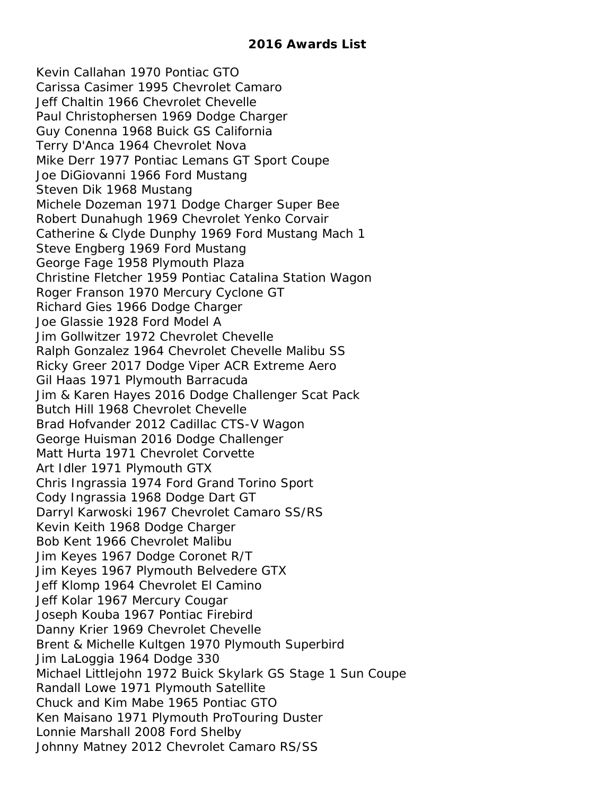Kevin Callahan 1970 Pontiac GTO Carissa Casimer 1995 Chevrolet Camaro Jeff Chaltin 1966 Chevrolet Chevelle Paul Christophersen 1969 Dodge Charger Guy Conenna 1968 Buick GS California Terry D'Anca 1964 Chevrolet Nova Mike Derr 1977 Pontiac Lemans GT Sport Coupe Joe DiGiovanni 1966 Ford Mustang Steven Dik 1968 Mustang Michele Dozeman 1971 Dodge Charger Super Bee Robert Dunahugh 1969 Chevrolet Yenko Corvair Catherine & Clyde Dunphy 1969 Ford Mustang Mach 1 Steve Engberg 1969 Ford Mustang George Fage 1958 Plymouth Plaza Christine Fletcher 1959 Pontiac Catalina Station Wagon Roger Franson 1970 Mercury Cyclone GT Richard Gies 1966 Dodge Charger Joe Glassie 1928 Ford Model A Jim Gollwitzer 1972 Chevrolet Chevelle Ralph Gonzalez 1964 Chevrolet Chevelle Malibu SS Ricky Greer 2017 Dodge Viper ACR Extreme Aero Gil Haas 1971 Plymouth Barracuda Jim & Karen Hayes 2016 Dodge Challenger Scat Pack Butch Hill 1968 Chevrolet Chevelle Brad Hofvander 2012 Cadillac CTS-V Wagon George Huisman 2016 Dodge Challenger Matt Hurta 1971 Chevrolet Corvette Art Idler 1971 Plymouth GTX Chris Ingrassia 1974 Ford Grand Torino Sport Cody Ingrassia 1968 Dodge Dart GT Darryl Karwoski 1967 Chevrolet Camaro SS/RS Kevin Keith 1968 Dodge Charger Bob Kent 1966 Chevrolet Malibu Jim Keyes 1967 Dodge Coronet R/T Jim Keyes 1967 Plymouth Belvedere GTX Jeff Klomp 1964 Chevrolet El Camino Jeff Kolar 1967 Mercury Cougar Joseph Kouba 1967 Pontiac Firebird Danny Krier 1969 Chevrolet Chevelle Brent & Michelle Kultgen 1970 Plymouth Superbird Jim LaLoggia 1964 Dodge 330 Michael Littlejohn 1972 Buick Skylark GS Stage 1 Sun Coupe Randall Lowe 1971 Plymouth Satellite Chuck and Kim Mabe 1965 Pontiac GTO Ken Maisano 1971 Plymouth ProTouring Duster Lonnie Marshall 2008 Ford Shelby Johnny Matney 2012 Chevrolet Camaro RS/SS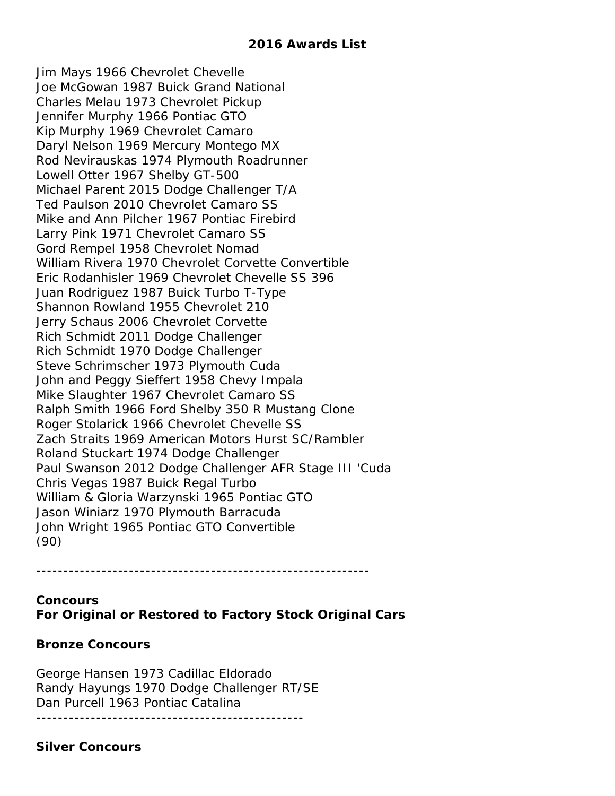Jim Mays 1966 Chevrolet Chevelle Joe McGowan 1987 Buick Grand National Charles Melau 1973 Chevrolet Pickup Jennifer Murphy 1966 Pontiac GTO Kip Murphy 1969 Chevrolet Camaro Daryl Nelson 1969 Mercury Montego MX Rod Nevirauskas 1974 Plymouth Roadrunner Lowell Otter 1967 Shelby GT-500 Michael Parent 2015 Dodge Challenger T/A Ted Paulson 2010 Chevrolet Camaro SS Mike and Ann Pilcher 1967 Pontiac Firebird Larry Pink 1971 Chevrolet Camaro SS Gord Rempel 1958 Chevrolet Nomad William Rivera 1970 Chevrolet Corvette Convertible Eric Rodanhisler 1969 Chevrolet Chevelle SS 396 Juan Rodriguez 1987 Buick Turbo T-Type Shannon Rowland 1955 Chevrolet 210 Jerry Schaus 2006 Chevrolet Corvette Rich Schmidt 2011 Dodge Challenger Rich Schmidt 1970 Dodge Challenger Steve Schrimscher 1973 Plymouth Cuda John and Peggy Sieffert 1958 Chevy Impala Mike Slaughter 1967 Chevrolet Camaro SS Ralph Smith 1966 Ford Shelby 350 R Mustang Clone Roger Stolarick 1966 Chevrolet Chevelle SS Zach Straits 1969 American Motors Hurst SC/Rambler Roland Stuckart 1974 Dodge Challenger Paul Swanson 2012 Dodge Challenger AFR Stage III 'Cuda Chris Vegas 1987 Buick Regal Turbo William & Gloria Warzynski 1965 Pontiac GTO Jason Winiarz 1970 Plymouth Barracuda John Wright 1965 Pontiac GTO Convertible (90)

**Concours For Original or Restored to Factory Stock Original Cars**

-------------------------------------------------------------

# **Bronze Concours**

George Hansen 1973 Cadillac Eldorado Randy Hayungs 1970 Dodge Challenger RT/SE Dan Purcell 1963 Pontiac Catalina

-------------------------------------------------

### **Silver Concours**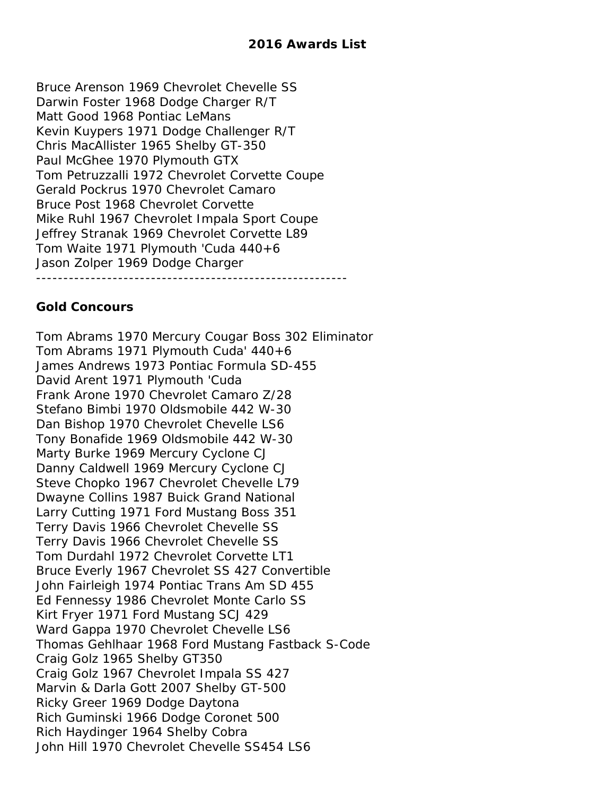Bruce Arenson 1969 Chevrolet Chevelle SS Darwin Foster 1968 Dodge Charger R/T Matt Good 1968 Pontiac LeMans Kevin Kuypers 1971 Dodge Challenger R/T Chris MacAllister 1965 Shelby GT-350 Paul McGhee 1970 Plymouth GTX Tom Petruzzalli 1972 Chevrolet Corvette Coupe Gerald Pockrus 1970 Chevrolet Camaro Bruce Post 1968 Chevrolet Corvette Mike Ruhl 1967 Chevrolet Impala Sport Coupe Jeffrey Stranak 1969 Chevrolet Corvette L89 Tom Waite 1971 Plymouth 'Cuda 440+6 Jason Zolper 1969 Dodge Charger ---------------------------------------------------------

# **Gold Concours**

Tom Abrams 1970 Mercury Cougar Boss 302 Eliminator Tom Abrams 1971 Plymouth Cuda' 440+6 James Andrews 1973 Pontiac Formula SD-455 David Arent 1971 Plymouth 'Cuda Frank Arone 1970 Chevrolet Camaro Z/28 Stefano Bimbi 1970 Oldsmobile 442 W-30 Dan Bishop 1970 Chevrolet Chevelle LS6 Tony Bonafide 1969 Oldsmobile 442 W-30 Marty Burke 1969 Mercury Cyclone CJ Danny Caldwell 1969 Mercury Cyclone CJ Steve Chopko 1967 Chevrolet Chevelle L79 Dwayne Collins 1987 Buick Grand National Larry Cutting 1971 Ford Mustang Boss 351 Terry Davis 1966 Chevrolet Chevelle SS Terry Davis 1966 Chevrolet Chevelle SS Tom Durdahl 1972 Chevrolet Corvette LT1 Bruce Everly 1967 Chevrolet SS 427 Convertible John Fairleigh 1974 Pontiac Trans Am SD 455 Ed Fennessy 1986 Chevrolet Monte Carlo SS Kirt Fryer 1971 Ford Mustang SCJ 429 Ward Gappa 1970 Chevrolet Chevelle LS6 Thomas Gehlhaar 1968 Ford Mustang Fastback S-Code Craig Golz 1965 Shelby GT350 Craig Golz 1967 Chevrolet Impala SS 427 Marvin & Darla Gott 2007 Shelby GT-500 Ricky Greer 1969 Dodge Daytona Rich Guminski 1966 Dodge Coronet 500 Rich Haydinger 1964 Shelby Cobra John Hill 1970 Chevrolet Chevelle SS454 LS6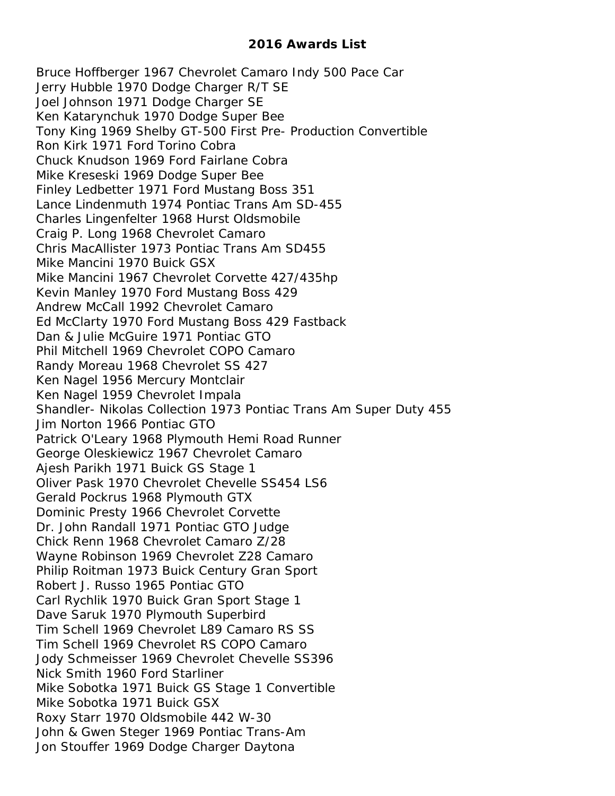Bruce Hoffberger 1967 Chevrolet Camaro Indy 500 Pace Car Jerry Hubble 1970 Dodge Charger R/T SE Joel Johnson 1971 Dodge Charger SE Ken Katarynchuk 1970 Dodge Super Bee Tony King 1969 Shelby GT-500 First Pre- Production Convertible Ron Kirk 1971 Ford Torino Cobra Chuck Knudson 1969 Ford Fairlane Cobra Mike Kreseski 1969 Dodge Super Bee Finley Ledbetter 1971 Ford Mustang Boss 351 Lance Lindenmuth 1974 Pontiac Trans Am SD-455 Charles Lingenfelter 1968 Hurst Oldsmobile Craig P. Long 1968 Chevrolet Camaro Chris MacAllister 1973 Pontiac Trans Am SD455 Mike Mancini 1970 Buick GSX Mike Mancini 1967 Chevrolet Corvette 427/435hp Kevin Manley 1970 Ford Mustang Boss 429 Andrew McCall 1992 Chevrolet Camaro Ed McClarty 1970 Ford Mustang Boss 429 Fastback Dan & Julie McGuire 1971 Pontiac GTO Phil Mitchell 1969 Chevrolet COPO Camaro Randy Moreau 1968 Chevrolet SS 427 Ken Nagel 1956 Mercury Montclair Ken Nagel 1959 Chevrolet Impala Shandler- Nikolas Collection 1973 Pontiac Trans Am Super Duty 455 Jim Norton 1966 Pontiac GTO Patrick O'Leary 1968 Plymouth Hemi Road Runner George Oleskiewicz 1967 Chevrolet Camaro Ajesh Parikh 1971 Buick GS Stage 1 Oliver Pask 1970 Chevrolet Chevelle SS454 LS6 Gerald Pockrus 1968 Plymouth GTX Dominic Presty 1966 Chevrolet Corvette Dr. John Randall 1971 Pontiac GTO Judge Chick Renn 1968 Chevrolet Camaro Z/28 Wayne Robinson 1969 Chevrolet Z28 Camaro Philip Roitman 1973 Buick Century Gran Sport Robert J. Russo 1965 Pontiac GTO Carl Rychlik 1970 Buick Gran Sport Stage 1 Dave Saruk 1970 Plymouth Superbird Tim Schell 1969 Chevrolet L89 Camaro RS SS Tim Schell 1969 Chevrolet RS COPO Camaro Jody Schmeisser 1969 Chevrolet Chevelle SS396 Nick Smith 1960 Ford Starliner Mike Sobotka 1971 Buick GS Stage 1 Convertible Mike Sobotka 1971 Buick GSX Roxy Starr 1970 Oldsmobile 442 W-30 John & Gwen Steger 1969 Pontiac Trans-Am Jon Stouffer 1969 Dodge Charger Daytona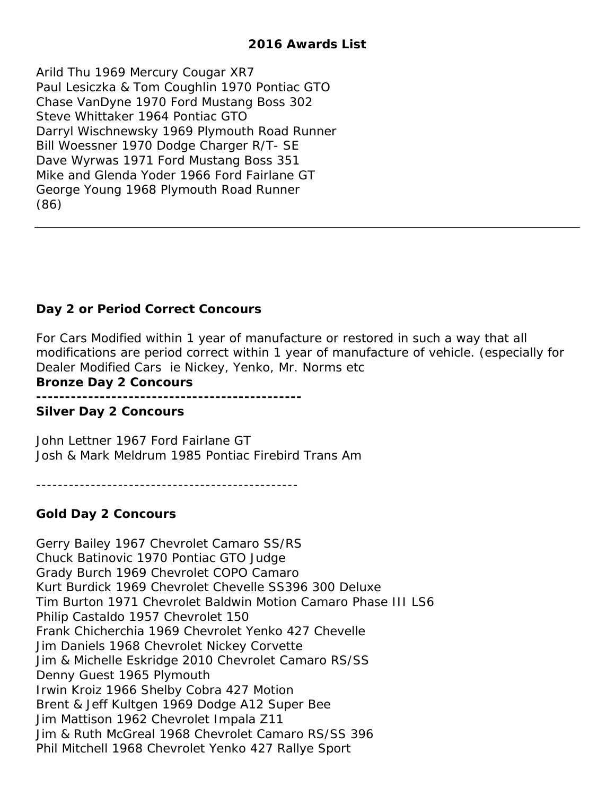Arild Thu 1969 Mercury Cougar XR7 Paul Lesiczka & Tom Coughlin 1970 Pontiac GTO Chase VanDyne 1970 Ford Mustang Boss 302 Steve Whittaker 1964 Pontiac GTO Darryl Wischnewsky 1969 Plymouth Road Runner Bill Woessner 1970 Dodge Charger R/T- SE Dave Wyrwas 1971 Ford Mustang Boss 351 Mike and Glenda Yoder 1966 Ford Fairlane GT George Young 1968 Plymouth Road Runner (86)

### **Day 2 or Period Correct Concours**

For Cars Modified within 1 year of manufacture or restored in such a way that all modifications are period correct within 1 year of manufacture of vehicle. (especially for Dealer Modified Cars ie Nickey, Yenko, Mr. Norms etc

**Bronze Day 2 Concours**

**----------------------------------------------**

#### **Silver Day 2 Concours**

John Lettner 1967 Ford Fairlane GT Josh & Mark Meldrum 1985 Pontiac Firebird Trans Am

------------------------------------------------

### **Gold Day 2 Concours**

Gerry Bailey 1967 Chevrolet Camaro SS/RS Chuck Batinovic 1970 Pontiac GTO Judge Grady Burch 1969 Chevrolet COPO Camaro Kurt Burdick 1969 Chevrolet Chevelle SS396 300 Deluxe Tim Burton 1971 Chevrolet Baldwin Motion Camaro Phase III LS6 Philip Castaldo 1957 Chevrolet 150 Frank Chicherchia 1969 Chevrolet Yenko 427 Chevelle Jim Daniels 1968 Chevrolet Nickey Corvette Jim & Michelle Eskridge 2010 Chevrolet Camaro RS/SS Denny Guest 1965 Plymouth Irwin Kroiz 1966 Shelby Cobra 427 Motion Brent & Jeff Kultgen 1969 Dodge A12 Super Bee Jim Mattison 1962 Chevrolet Impala Z11 Jim & Ruth McGreal 1968 Chevrolet Camaro RS/SS 396 Phil Mitchell 1968 Chevrolet Yenko 427 Rallye Sport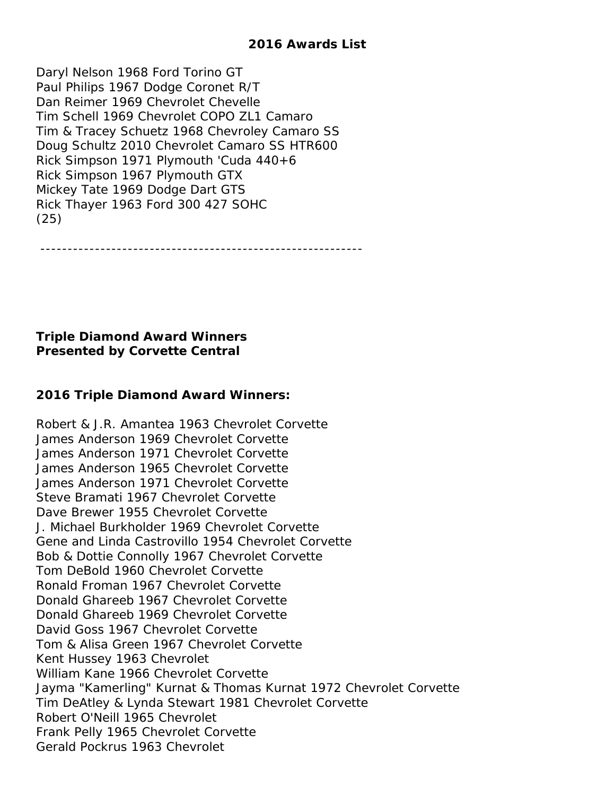Daryl Nelson 1968 Ford Torino GT Paul Philips 1967 Dodge Coronet R/T Dan Reimer 1969 Chevrolet Chevelle Tim Schell 1969 Chevrolet COPO ZL1 Camaro Tim & Tracey Schuetz 1968 Chevroley Camaro SS Doug Schultz 2010 Chevrolet Camaro SS HTR600 Rick Simpson 1971 Plymouth 'Cuda 440+6 Rick Simpson 1967 Plymouth GTX Mickey Tate 1969 Dodge Dart GTS Rick Thayer 1963 Ford 300 427 SOHC (25)

-----------------------------------------------------------

# **Triple Diamond Award Winners Presented by Corvette Central**

# **2016 Triple Diamond Award Winners:**

Robert & J.R. Amantea 1963 Chevrolet Corvette James Anderson 1969 Chevrolet Corvette James Anderson 1971 Chevrolet Corvette James Anderson 1965 Chevrolet Corvette James Anderson 1971 Chevrolet Corvette Steve Bramati 1967 Chevrolet Corvette Dave Brewer 1955 Chevrolet Corvette J. Michael Burkholder 1969 Chevrolet Corvette Gene and Linda Castrovillo 1954 Chevrolet Corvette Bob & Dottie Connolly 1967 Chevrolet Corvette Tom DeBold 1960 Chevrolet Corvette Ronald Froman 1967 Chevrolet Corvette Donald Ghareeb 1967 Chevrolet Corvette Donald Ghareeb 1969 Chevrolet Corvette David Goss 1967 Chevrolet Corvette Tom & Alisa Green 1967 Chevrolet Corvette Kent Hussey 1963 Chevrolet William Kane 1966 Chevrolet Corvette Jayma "Kamerling" Kurnat & Thomas Kurnat 1972 Chevrolet Corvette Tim DeAtley & Lynda Stewart 1981 Chevrolet Corvette Robert O'Neill 1965 Chevrolet Frank Pelly 1965 Chevrolet Corvette Gerald Pockrus 1963 Chevrolet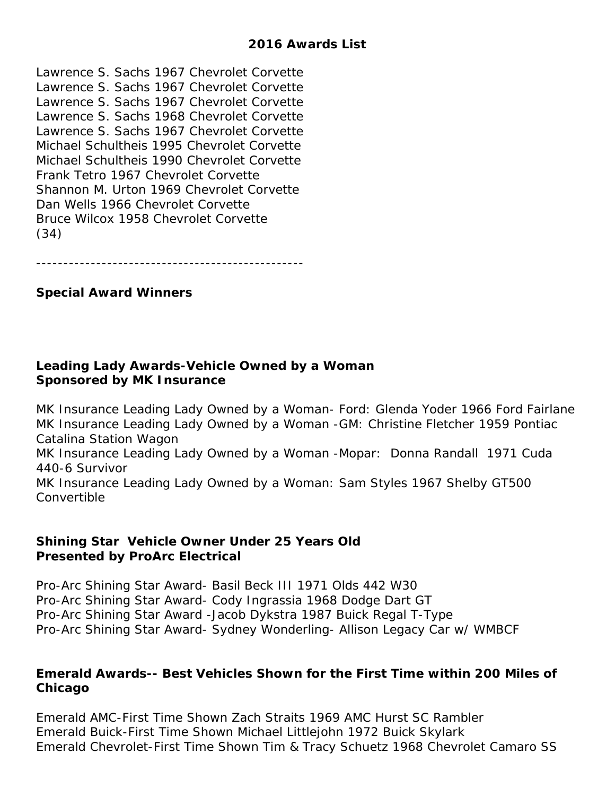Lawrence S. Sachs 1967 Chevrolet Corvette Lawrence S. Sachs 1967 Chevrolet Corvette Lawrence S. Sachs 1967 Chevrolet Corvette Lawrence S. Sachs 1968 Chevrolet Corvette Lawrence S. Sachs 1967 Chevrolet Corvette Michael Schultheis 1995 Chevrolet Corvette Michael Schultheis 1990 Chevrolet Corvette Frank Tetro 1967 Chevrolet Corvette Shannon M. Urton 1969 Chevrolet Corvette Dan Wells 1966 Chevrolet Corvette Bruce Wilcox 1958 Chevrolet Corvette (34)

-------------------------------------------------

### **Special Award Winners**

### **Leading Lady Awards-Vehicle Owned by a Woman Sponsored by MK Insurance**

MK Insurance Leading Lady Owned by a Woman- Ford: Glenda Yoder 1966 Ford Fairlane MK Insurance Leading Lady Owned by a Woman -GM: Christine Fletcher 1959 Pontiac Catalina Station Wagon MK Insurance Leading Lady Owned by a Woman -Mopar: Donna Randall 1971 Cuda 440-6 Survivor MK Insurance Leading Lady Owned by a Woman: Sam Styles 1967 Shelby GT500 Convertible

### **Shining Star Vehicle Owner Under 25 Years Old Presented by ProArc Electrical**

Pro-Arc Shining Star Award- Basil Beck III 1971 Olds 442 W30 Pro-Arc Shining Star Award- Cody Ingrassia 1968 Dodge Dart GT Pro-Arc Shining Star Award -Jacob Dykstra 1987 Buick Regal T-Type Pro-Arc Shining Star Award- Sydney Wonderling- Allison Legacy Car w/ WMBCF

### **Emerald Awards-- Best Vehicles Shown for the First Time within 200 Miles of Chicago**

Emerald AMC-First Time Shown Zach Straits 1969 AMC Hurst SC Rambler Emerald Buick-First Time Shown Michael Littlejohn 1972 Buick Skylark Emerald Chevrolet-First Time Shown Tim & Tracy Schuetz 1968 Chevrolet Camaro SS